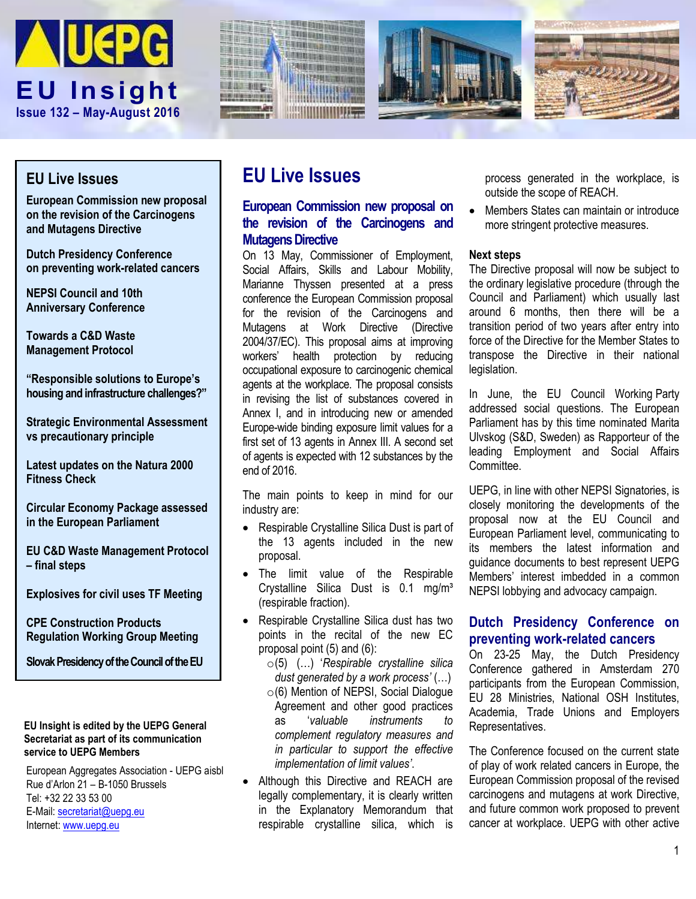







# **EU Live Issues**

**European Commission new proposal on the revision of the Carcinogens and Mutagens Directive**

**Dutch Presidency Conference on preventing work-related cancers**

**NEPSI Council and 10th Anniversary Conference** 

**Towards a C&D Waste Management Protocol**

**"Responsible solutions to Europe's housing and infrastructure challenges?"**

**Strategic Environmental Assessment vs precautionary principle**

**Latest updates on the Natura 2000 Fitness Check**

**Circular Economy Package assessed in the European Parliament**

**EU C&D Waste Management Protocol – final steps**

**Explosives for civil uses TF Meeting** 

**CPE Construction Products Regulation Working Group Meeting**

**Slovak Presidency of the Council of the EU**

#### **EU Insight is edited by the UEPG General Secretariat as part of its communication service to UEPG Members**

European Aggregates Association - UEPG aisbl Rue d'Arlon 21 – B-1050 Brussels Tel: +32 22 33 53 00 E-Mail: [secretariat@uepg.eu](mailto:secretariat@uepg.eu) Internet[: www.uepg.eu](http://www.uepg.eu/)

# **EU Live Issues**

**European Commission new proposal on the revision of the Carcinogens and Mutagens Directive**

On 13 May, Commissioner of Employment, Social Affairs, Skills and Labour Mobility, Marianne Thyssen presented at a press conference the [European Commission proposal](http://ec.europa.eu/social/main.jsp?langId=en&catId=148&newsId=2536&furtherNews=yes)  [for the revision of the Carcinogens and](http://ec.europa.eu/social/main.jsp?langId=en&catId=148&newsId=2536&furtherNews=yes)  [Mutagens at Work Directive](http://ec.europa.eu/social/main.jsp?langId=en&catId=148&newsId=2536&furtherNews=yes) (Directive 2004/37/EC). This proposal aims at improving workers' health protection by reducing occupational exposure to carcinogenic chemical agents at the workplace. The proposal consists in revising the list of substances covered in Annex I, and in introducing new or amended Europe-wide binding exposure limit values for a first set of 13 agents in Annex III. A second set of agents is expected with 12 substances by the end of 2016.

The main points to keep in mind for our industry are:

- Respirable Crystalline Silica Dust is part of the 13 agents included in the new proposal.
- The limit value of the Respirable Crystalline Silica Dust is 0.1 mg/m<sup>3</sup> (respirable fraction).
- Respirable Crystalline Silica dust has two points in the recital of the new EC proposal point (5) and (6):
	- o(5) (…) '*Respirable crystalline silica dust generated by a work process'* (…)
	- o(6) Mention of NEPSI, Social Dialogue Agreement and other good practices as '*valuable instruments to complement regulatory measures and in particular to support the effective implementation of limit values'*.
- Although this Directive and REACH are legally complementary, it is clearly written in the Explanatory Memorandum that respirable crystalline silica, which is

process generated in the workplace, is outside the scope of REACH.

 Members States can maintain or introduce more stringent protective measures.

#### **Next steps**

The Directive proposal will now be subject to the ordinary legislative procedure (through the Council and Parliament) which usually last around 6 months, then there will be a transition period of two years after entry into force of the Directive for the Member States to transpose the Directive in their national legislation.

In June, the EU Council Working Party addressed social questions. The European Parliament has by this time nominated [Marita](http://www.europarl.europa.eu/meps/en/96672.html)  Ulvskog (S&D, Sweden) as Rapporteur of the leading Employment and Social Affairs **Committee** 

UEPG, in line with other NEPSI Signatories, is closely monitoring the developments of the proposal now at the EU Council and European Parliament level, communicating to its members the latest information and guidance documents to best represent UEPG Members' interest imbedded in a common NEPSI lobbying and advocacy campaign.

## **Dutch Presidency Conference on preventing work-related cancers**

On 23-25 May, the Dutch Presidency Conference gathered in Amsterdam 270 participants from the European Commission, EU 28 Ministries, National OSH Institutes, Academia, Trade Unions and Employers Representatives.

The Conference focused on the current state of play of work related cancers in Europe, the European Commission proposal of the revised carcinogens and mutagens at work Directive, and future common work proposed to prevent cancer at workplace. UEPG with other active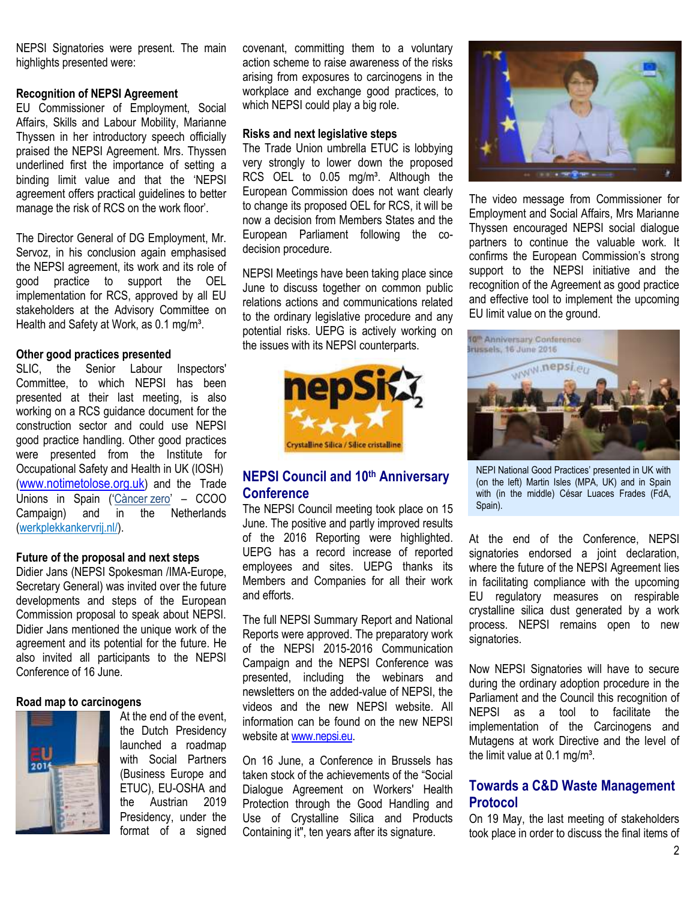NEPSI Signatories were present. The main highlights presented were:

#### **Recognition of NEPSI Agreement**

EU Commissioner of Employment, Social Affairs, Skills and Labour Mobility, Marianne Thyssen in her introductory speech officially praised the NEPSI Agreement. Mrs. Thyssen underlined first the importance of setting a binding limit value and that the 'NEPSI agreement offers practical guidelines to better manage the risk of RCS on the work floor'.

The Director General of DG Employment, Mr. Servoz, in his conclusion again emphasised the NEPSI agreement, its work and its role of good practice to support the OEL implementation for RCS, approved by all EU stakeholders at the Advisory Committee on Health and Safety at Work, as 0.1 mg/m<sup>3</sup>.

#### **Other good practices presented**

SLIC, the Senior Labour Inspectors' Committee, to which NEPSI has been presented at their last meeting, is also working on a RCS guidance document for the construction sector and could use NEPSI good practice handling. Other good practices were presented from the Institute for Occupational Safety and Health in UK (IOSH) ([www.notimetolose.org.uk](http://www.notimetolose.org.uk/)) and the Trade Unions in Spain ('[Càncer](http://www.cancerceroeneltrabajo.ccoo.es/cancercero/) zero' – CCOO Campaign) and in the Netherlands [\(werkplekkankervrij.nl/\)](http://werkplekkankervrij.nl/).

#### **Future of the proposal and next steps**

Didier Jans (NEPSI Spokesman /IMA-Europe, Secretary General) was invited over the future developments and steps of the European Commission proposal to speak about NEPSI. Didier Jans mentioned the unique work of the agreement and its potential for the future. He also invited all participants to the NEPSI Conference of 16 June.

#### **Road map to carcinogens**



At the end of the event, the Dutch Presidency launched [a roadmap](https://osha.europa.eu/en/themes/dangerous-substances/roadmap-to-carcinogens) with Social Partners (Business Europe and ETUC), EU-OSHA and the Austrian 2019 Presidency, under the format of a signed

covenant, committing them to a voluntary action scheme to raise awareness of the risks arising from exposures to carcinogens in the workplace and exchange good practices, to which NEPSI could play a big role.

#### **Risks and next legislative steps**

The Trade Union umbrella ETUC is lobbying very strongly to lower down the proposed RCS OEL to 0.05 mg/m<sup>3</sup>. Although the European Commission does not want clearly to change its proposed OEL for RCS, it will be now a decision from Members States and the European Parliament following the codecision procedure.

NEPSI Meetings have been taking place since June to discuss together on common public relations actions and communications related to the ordinary legislative procedure and any potential risks. UEPG is actively working on the issues with its NEPSI counterparts.



## **NEPSI Council and 10th Anniversary Conference**

The NEPSI Council meeting took place on 15 June. The positive and partly improved results of the 2016 Reporting were highlighted. UEPG has a record increase of reported employees and sites. UEPG thanks its Members and Companies for all their work and efforts.

The full NEPSI Summary Report and National Reports were approved. The preparatory work of the NEPSI 2015-2016 Communication Campaign and the NEPSI Conference was presented, including the webinars and newsletters on the added-value of NEPSI, the videos and the new NEPSI website. All information can be found on the new NEPSI website at [www.nepsi.eu.](http://www.nepsi.eu/)

On 16 June, a Conference in Brussels has taken stock of the achievements of the "Social Dialogue Agreement on Workers' Health Protection through the Good Handling and Use of Crystalline Silica and Products Containing it", ten years after its signature.



The video message from Commissioner for Employment and Social Affairs, Mrs Marianne Thyssen encouraged NEPSI social dialogue partners to continue the valuable work. It confirms the European Commission's strong support to the NEPSI initiative and the recognition of the Agreement as good practice and effective tool to implement the upcoming EU limit value on the ground.



NEPI National Good Practices' presented in UK with (on the left) Martin Isles (MPA, UK) and in Spain with (in the middle) César Luaces Frades (FdA, Spain).

At the end of the Conference, NEPSI signatories endorsed a joint declaration, where the future of the NEPSI Agreement lies in facilitating compliance with the upcoming EU regulatory measures on respirable crystalline silica dust generated by a work process. NEPSI remains open to new signatories.

Now NEPSI Signatories will have to secure during the ordinary adoption procedure in the Parliament and the Council this recognition of NEPSI as a tool to facilitate the implementation of the Carcinogens and Mutagens at work Directive and the level of the limit value at  $0.1$  mg/m<sup>3</sup>.

## **Towards a C&D Waste Management Protocol**

On 19 May, the last meeting of stakeholders took place in order to discuss the final items of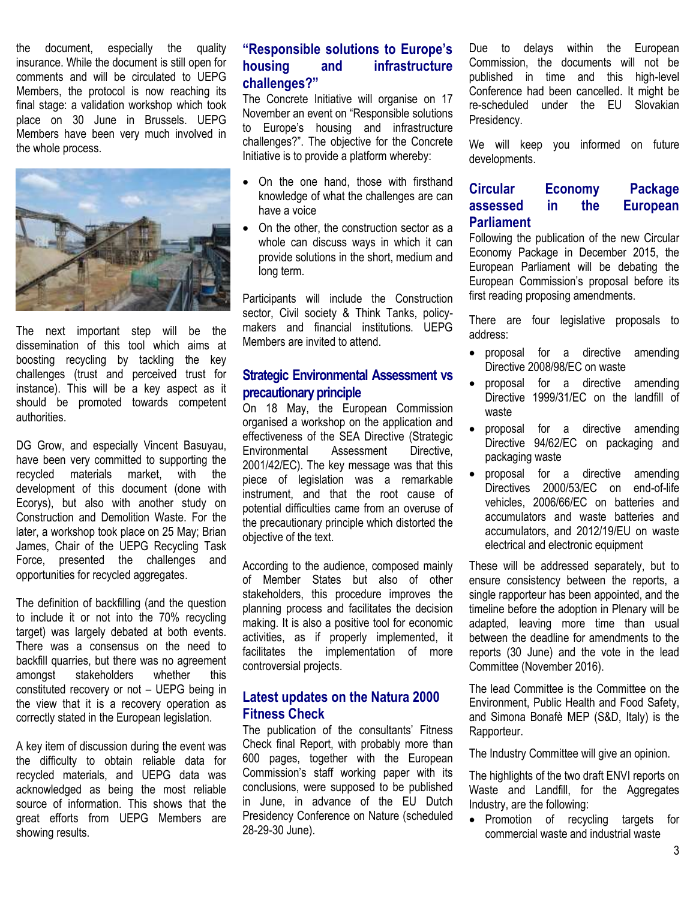the document, especially the quality insurance. While the document is still open for comments and will be circulated to UEPG Members, the protocol is now reaching its final stage: a validation workshop which took place on 30 June in Brussels. UEPG Members have been very much involved in the whole process.



The next important step will be the dissemination of this tool which aims at boosting recycling by tackling the key challenges (trust and perceived trust for instance). This will be a key aspect as it should be promoted towards competent authorities.

DG Grow, and especially Vincent Basuyau, have been very committed to supporting the recycled materials market, with the development of this document (done with Ecorys), but also with another study on Construction and Demolition Waste. For the later, a workshop took place on 25 May; Brian James, Chair of the UEPG Recycling Task Force, presented the challenges and opportunities for recycled aggregates.

The definition of backfilling (and the question to include it or not into the 70% recycling target) was largely debated at both events. There was a consensus on the need to backfill quarries, but there was no agreement amongst stakeholders whether this constituted recovery or not – UEPG being in the view that it is a recovery operation as correctly stated in the European legislation.

A key item of discussion during the event was the difficulty to obtain reliable data for recycled materials, and UEPG data was acknowledged as being the most reliable source of information. This shows that the great efforts from UEPG Members are showing results.

## **"Responsible solutions to Europe's housing and infrastructure challenges?"**

The Concrete Initiative will organise on 17 November an event on "Responsible solutions to Europe's housing and infrastructure challenges?". The objective for the Concrete Initiative is to provide a platform whereby:

- On the one hand, those with firsthand knowledge of what the challenges are can have a voice
- On the other, the construction sector as a whole can discuss ways in which it can provide solutions in the short, medium and long term.

Participants will include the Construction sector, Civil society & Think Tanks, policymakers and financial institutions. UEPG Members are invited to attend.

### **Strategic Environmental Assessment vs precautionary principle**

On 18 May, the European Commission organised a workshop on the application and effectiveness of the SEA Directive (Strategic Environmental Assessment Directive, 2001/42/EC). The key message was that this piece of legislation was a remarkable instrument, and that the root cause of potential difficulties came from an overuse of the precautionary principle which distorted the objective of the text.

According to the audience, composed mainly of Member States but also of other stakeholders, this procedure improves the planning process and facilitates the decision making. It is also a positive tool for economic activities, as if properly implemented, it facilitates the implementation of more controversial projects.

### **Latest updates on the Natura 2000 Fitness Check**

The publication of the consultants' Fitness Check final Report, with probably more than 600 pages, together with the European Commission's staff working paper with its conclusions, were supposed to be published in June, in advance of the EU Dutch Presidency Conference on Nature (scheduled 28-29-30 June).

Due to delays within the European Commission, the documents will not be published in time and this high-level Conference had been cancelled. It might be re-scheduled under the EU Slovakian Presidency.

We will keep you informed on future developments.

## **Circular Economy Package assessed in the European Parliament**

Following the publication of the new Circular Economy Package in December 2015, the European Parliament will be debating the European Commission's proposal before its first reading proposing amendments.

There are four legislative proposals to address:

- proposal for a directive amending Directive 2008/98/EC on waste
- proposal for a directive amending Directive 1999/31/EC on the landfill of waste
- proposal for a directive amending Directive 94/62/EC on packaging and packaging waste
- proposal for a directive amending Directives 2000/53/EC on end-of-life vehicles, 2006/66/EC on batteries and accumulators and waste batteries and accumulators, and 2012/19/EU on waste electrical and electronic equipment

These will be addressed separately, but to ensure consistency between the reports, a single rapporteur has been appointed, and the timeline before the adoption in Plenary will be adapted, leaving more time than usual between the deadline for amendments to the reports (30 June) and the vote in the lead Committee (November 2016).

The lead Committee is the Committee on the Environment, Public Health and Food Safety, and Simona Bonafè MEP (S&D, Italy) is the Rapporteur.

The Industry Committee will give an opinion.

The highlights of the two draft ENVI reports on Waste and Landfill, for the Aggregates Industry, are the following:

• Promotion of recycling targets for commercial waste and industrial waste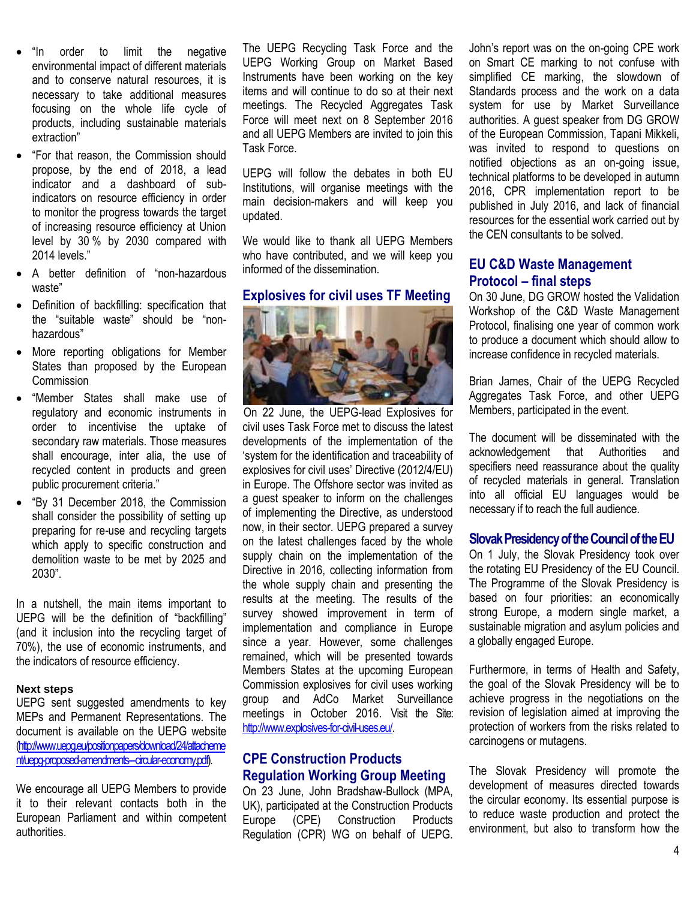- "In order to limit the negative environmental impact of different materials and to conserve natural resources, it is necessary to take additional measures focusing on the whole life cycle of products, including sustainable materials extraction"
- "For that reason, the Commission should propose, by the end of 2018, a lead indicator and a dashboard of subindicators on resource efficiency in order to monitor the progress towards the target of increasing resource efficiency at Union level by 30 % by 2030 compared with 2014 levels."
- A better definition of "non-hazardous waste"
- Definition of backfilling: specification that the "suitable waste" should be "nonhazardous"
- More reporting obligations for Member States than proposed by the European **Commission**
- "Member States shall make use of regulatory and economic instruments in order to incentivise the uptake of secondary raw materials. Those measures shall encourage, inter alia, the use of recycled content in products and green public procurement criteria."
- "By 31 December 2018, the Commission shall consider the possibility of setting up preparing for re-use and recycling targets which apply to specific construction and demolition waste to be met by 2025 and 2030".

In a nutshell, the main items important to UEPG will be the definition of "backfilling" (and it inclusion into the recycling target of 70%), the use of economic instruments, and the indicators of resource efficiency.

#### **Next steps**

UEPG sent suggested amendments to key MEPs and Permanent Representations. The document is available on the UEPG website [\(http://www.uepg.eu/positionpapers/download/24/attacheme](http://www.uepg.eu/positionpapers/download/24/attachement/uepg-proposed-amendments---circular-economy.pdf) [nt/uepg-proposed-amendments---circular-economy.pdf\).](http://www.uepg.eu/positionpapers/download/24/attachement/uepg-proposed-amendments---circular-economy.pdf)

We encourage all UEPG Members to provide it to their relevant contacts both in the European Parliament and within competent authorities.

The UEPG Recycling Task Force and the UEPG Working Group on Market Based Instruments have been working on the key items and will continue to do so at their next meetings. The Recycled Aggregates Task Force will meet next on 8 September 2016 and all UEPG Members are invited to join this Task Force.

UEPG will follow the debates in both EU Institutions, will organise meetings with the main decision-makers and will keep you updated.

We would like to thank all UEPG Members who have contributed, and we will keep you informed of the dissemination.

#### **Explosives for civil uses TF Meeting**



On 22 June, the UEPG-lead Explosives for civil uses Task Force met to discuss the latest developments of the implementation of the 'system for the identification and traceability of explosives for civil uses' Directive (2012/4/EU) in Europe. The Offshore sector was invited as a guest speaker to inform on the challenges of implementing the Directive, as understood now, in their sector. UEPG prepared a survey on the latest challenges faced by the whole supply chain on the implementation of the Directive in 2016, collecting information from the whole supply chain and presenting the results at the meeting. The results of the survey showed improvement in term of implementation and compliance in Europe since a year. However, some challenges remained, which will be presented towards Members States at the upcoming European Commission explosives for civil uses working group and AdCo Market Surveillance meetings in October 2016. Visit the Site: [http://www.explosives-for-civil-uses.eu/.](http://www.explosives-for-civil-uses.eu/)

## **CPE Construction Products Regulation Working Group Meeting**

On 23 June, John Bradshaw-Bullock (MPA, UK), participated at the Construction Products Europe (CPE) Construction Products Regulation (CPR) WG on behalf of UEPG.

John's report was on the on-going CPE work on Smart CE marking to not confuse with simplified CE marking, the slowdown of Standards process and the work on a data system for use by Market Surveillance authorities. A guest speaker from DG GROW of the European Commission, Tapani Mikkeli, was invited to respond to questions on notified objections as an on-going issue, technical platforms to be developed in autumn 2016, CPR implementation report to be published in July 2016, and lack of financial resources for the essential work carried out by the CEN consultants to be solved.

## **EU C&D Waste Management Protocol – final steps**

On 30 June, DG GROW hosted the Validation Workshop of the C&D Waste Management Protocol, finalising one year of common work to produce a document which should allow to increase confidence in recycled materials.

Brian James, Chair of the UEPG Recycled Aggregates Task Force, and other UEPG Members, participated in the event.

The document will be disseminated with the acknowledgement that Authorities and specifiers need reassurance about the quality of recycled materials in general. Translation into all official EU languages would be necessary if to reach the full audience.

#### **Slovak Presidency of the Council of the EU**

On 1 July, the Slovak Presidency took over the rotating EU Presidency of the EU Council. The Programme of the Slovak Presidency is based on four priorities: an economically strong Europe, a modern single market, a sustainable migration and asylum policies and a globally engaged Europe.

Furthermore, in terms of Health and Safety, the goal of the Slovak Presidency will be to achieve progress in the negotiations on the revision of legislation aimed at improving the protection of workers from the risks related to carcinogens or mutagens.

The Slovak Presidency will promote the development of measures directed towards the circular economy. Its essential purpose is to reduce waste production and protect the environment, but also to transform how the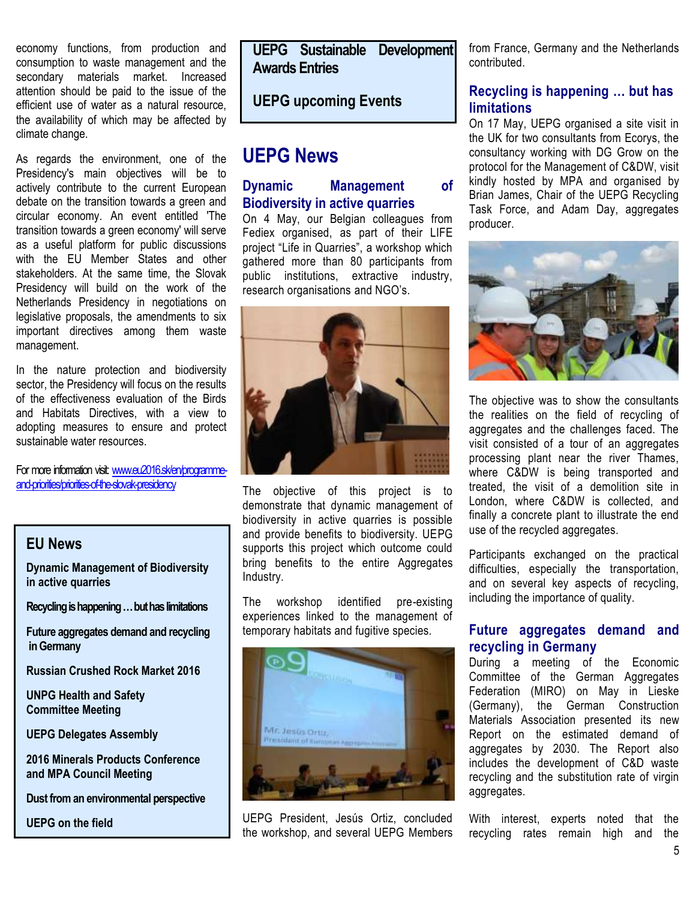economy functions, from production and consumption to waste management and the secondary materials market. Increased attention should be paid to the issue of the efficient use of water as a natural resource, the availability of which may be affected by climate change.

As regards the environment, one of the Presidency's main objectives will be to actively contribute to the current European debate on the transition towards a green and circular economy. An event entitled 'The transition towards a green economy' will serve as a useful platform for public discussions with the EU Member States and other stakeholders. At the same time, the Slovak Presidency will build on the work of the Netherlands Presidency in negotiations on legislative proposals, the amendments to six important directives among them waste management.

In the nature protection and biodiversity sector, the Presidency will focus on the results of the effectiveness evaluation of the Birds and Habitats Directives, with a view to adopting measures to ensure and protect sustainable water resources.

For more information visit: [www.eu2016.sk/en/programme](http://www.eu2016.sk/en/programme-and-priorities/priorities-of-the-slovak-presidency)[and-priorities/priorities-of-the-slovak-presidency](http://www.eu2016.sk/en/programme-and-priorities/priorities-of-the-slovak-presidency)

## **EU News**

**Dynamic Management of Biodiversity in active quarries**

**Recycling is happening…buthas limitations**

**Future aggregates demand and recycling in Germany**

**Russian Crushed Rock Market 2016**

**UNPG Health and Safety Committee Meeting**

**UEPG Delegates Assembly**

**2016 Minerals Products Conference and MPA Council Meeting**

**Dust from an environmental perspective**

**UEPG on the field**

**UEPG Sustainable Development Awards Entries**

**UEPG upcoming Events** 

# **UEPG News**

## **Dynamic Management of Biodiversity in active quarries**

On 4 May, our Belgian colleagues from Fediex organised, as part of their LIFE project "Life in Quarries", a workshop which gathered more than 80 participants from public institutions, extractive industry, research organisations and NGO's.



The objective of this project is to demonstrate that dynamic management of biodiversity in active quarries is possible and provide benefits to biodiversity. UEPG supports this project which outcome could bring benefits to the entire Aggregates Industry.

The workshop identified pre-existing experiences linked to the management of temporary habitats and fugitive species.



UEPG President, Jesús Ortiz, concluded the workshop, and several UEPG Members from France, Germany and the Netherlands contributed.

## **Recycling is happening … but has limitations**

On 17 May, UEPG organised a site visit in the UK for two consultants from Ecorys, the consultancy working with DG Grow on the protocol for the Management of C&DW, visit kindly hosted by MPA and organised by Brian James, Chair of the UEPG Recycling Task Force, and Adam Day, aggregates producer.



The objective was to show the consultants the realities on the field of recycling of aggregates and the challenges faced. The visit consisted of a tour of an aggregates processing plant near the river Thames, where C&DW is being transported and treated, the visit of a demolition site in London, where C&DW is collected, and finally a concrete plant to illustrate the end use of the recycled aggregates.

Participants exchanged on the practical difficulties, especially the transportation, and on several key aspects of recycling, including the importance of quality.

## **Future aggregates demand and recycling in Germany**

During a meeting of the Economic Committee of the German Aggregates Federation (MIRO) on May in Lieske (Germany), the German Construction Materials Association presented its new Report on the estimated demand of aggregates by 2030. The Report also includes the development of C&D waste recycling and the substitution rate of virgin aggregates.

With interest, experts noted that the recycling rates remain high and the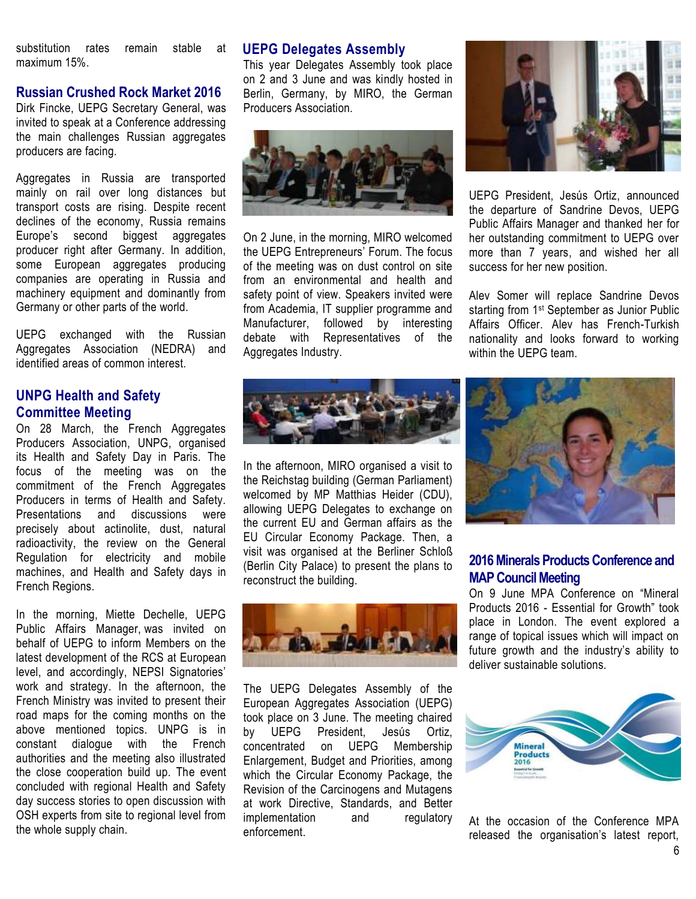substitution rates remain stable at maximum 15%.

## **Russian Crushed Rock Market 2016**

Dirk Fincke, UEPG Secretary General, was invited to speak at a Conference addressing the main challenges Russian aggregates producers are facing.

Aggregates in Russia are transported mainly on rail over long distances but transport costs are rising. Despite recent declines of the economy, Russia remains Europe's second biggest aggregates producer right after Germany. In addition, some European aggregates producing companies are operating in Russia and machinery equipment and dominantly from Germany or other parts of the world.

UEPG exchanged with the Russian Aggregates Association (NEDRA) and identified areas of common interest.

### **UNPG Health and Safety Committee Meeting**

On 28 March, the French Aggregates Producers Association, UNPG, organised its Health and Safety Day in Paris. The focus of the meeting was on the commitment of the French Aggregates Producers in terms of Health and Safety. Presentations and discussions were precisely about actinolite, dust, natural radioactivity, the review on the General Regulation for electricity and mobile machines, and Health and Safety days in French Regions.

In the morning, Miette Dechelle, UEPG Public Affairs Manager, was invited on behalf of UEPG to inform Members on the latest development of the RCS at European level, and accordingly, NEPSI Signatories' work and strategy. In the afternoon, the French Ministry was invited to present their road maps for the coming months on the above mentioned topics. UNPG is in constant dialogue with the French authorities and the meeting also illustrated the close cooperation build up. The event concluded with regional Health and Safety day success stories to open discussion with OSH experts from site to regional level from the whole supply chain.

#### **UEPG Delegates Assembly**

This year Delegates Assembly took place on 2 and 3 June and was kindly hosted in Berlin, Germany, by MIRO, the German Producers Association.



On 2 June, in the morning, MIRO welcomed the UEPG Entrepreneurs' Forum. The focus of the meeting was on dust control on site from an environmental and health and safety point of view. Speakers invited were from Academia, IT supplier programme and Manufacturer, followed by interesting debate with Representatives of the Aggregates Industry.



UEPG President, Jesús Ortiz, announced the departure of Sandrine Devos, UEPG Public Affairs Manager and thanked her for her outstanding commitment to UEPG over more than 7 years, and wished her all success for her new position.

Alev Somer will replace Sandrine Devos starting from 1st September as Junior Public Affairs Officer. Alev has French-Turkish nationality and looks forward to working within the UEPG team.



In the afternoon, MIRO organised a visit to the Reichstag building (German Parliament) welcomed by MP Matthias Heider (CDU), allowing UEPG Delegates to exchange on the current EU and German affairs as the EU Circular Economy Package. Then, a visit was organised at the [Berliner Schloß](http://berliner-schloss.de/en/) (Berlin City Palace) to present the plans to reconstruct the building.



The UEPG Delegates Assembly of the European Aggregates Association (UEPG) took place on 3 June. The meeting chaired by UEPG President, Jesús Ortiz, concentrated on UEPG Membership Enlargement, Budget and Priorities, among which the Circular Economy Package, the Revision of the Carcinogens and Mutagens at work Directive, Standards, and Better implementation and regulatory enforcement.



### **2016 Minerals Products Conference and MAP Council Meeting**

On 9 June MPA Conference on "Mineral Products 2016 - Essential for Growth" took place in London. The event explored a range of topical issues which will impact on future growth and the industry's ability to deliver sustainable solutions.



At the occasion of the Conference MPA released the organisation's latest report,